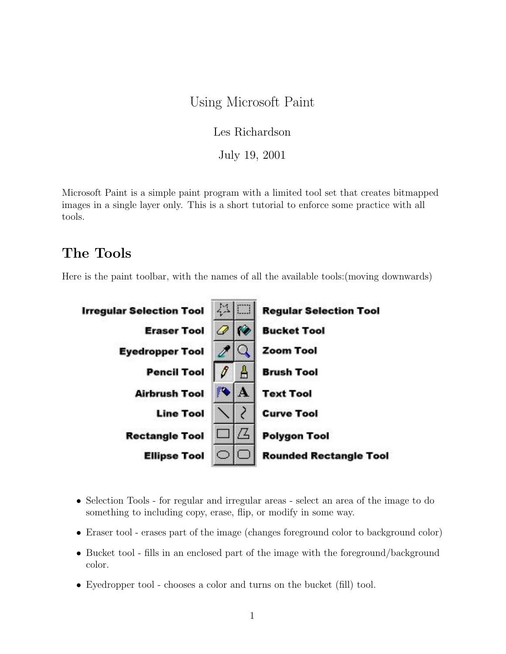# Using Microsoft Paint

Les Richardson

July 19, 2001

Microsoft Paint is a simple paint program with a limited tool set that creates bitmapped images in a single layer only. This is a short tutorial to enforce some practice with all tools.

# The Tools

Here is the paint toolbar, with the names of all the available tools:(moving downwards)



- Selection Tools for regular and irregular areas select an area of the image to do something to including copy, erase, flip, or modify in some way.
- Eraser tool erases part of the image (changes foreground color to background color)
- Bucket tool fills in an enclosed part of the image with the foreground/background color.
- Eyedropper tool chooses a color and turns on the bucket (fill) tool.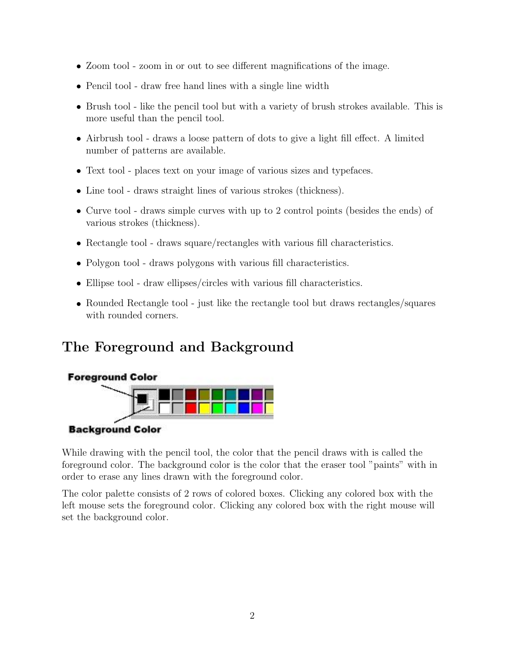- Zoom tool zoom in or out to see different magnifications of the image.
- Pencil tool draw free hand lines with a single line width
- Brush tool like the pencil tool but with a variety of brush strokes available. This is more useful than the pencil tool.
- Airbrush tool draws a loose pattern of dots to give a light fill effect. A limited number of patterns are available.
- Text tool places text on your image of various sizes and typefaces.
- Line tool draws straight lines of various strokes (thickness).
- Curve tool draws simple curves with up to 2 control points (besides the ends) of various strokes (thickness).
- Rectangle tool draws square/rectangles with various fill characteristics.
- Polygon tool draws polygons with various fill characteristics.
- Ellipse tool draw ellipses/circles with various fill characteristics.
- Rounded Rectangle tool just like the rectangle tool but draws rectangles/squares with rounded corners.

# The Foreground and Background



#### **Background Color**

While drawing with the pencil tool, the color that the pencil draws with is called the foreground color. The background color is the color that the eraser tool "paints" with in order to erase any lines drawn with the foreground color.

The color palette consists of 2 rows of colored boxes. Clicking any colored box with the left mouse sets the foreground color. Clicking any colored box with the right mouse will set the background color.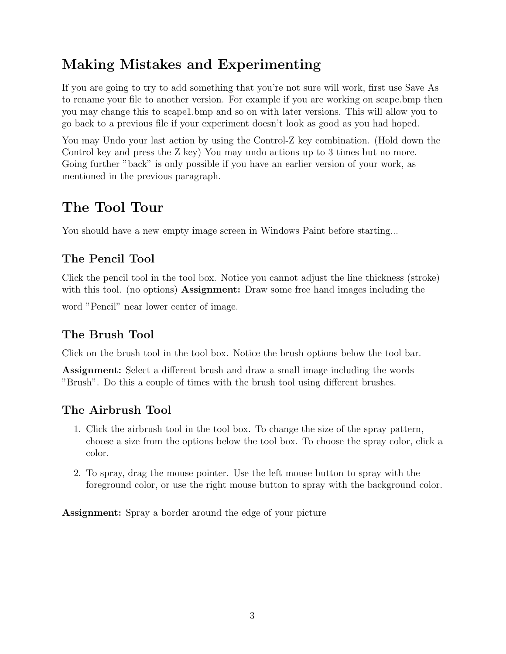# Making Mistakes and Experimenting

If you are going to try to add something that you're not sure will work, first use Save As to rename your file to another version. For example if you are working on scape.bmp then you may change this to scape1.bmp and so on with later versions. This will allow you to go back to a previous file if your experiment doesn't look as good as you had hoped.

You may Undo your last action by using the Control-Z key combination. (Hold down the Control key and press the Z key) You may undo actions up to 3 times but no more. Going further "back" is only possible if you have an earlier version of your work, as mentioned in the previous paragraph.

# The Tool Tour

You should have a new empty image screen in Windows Paint before starting...

# The Pencil Tool

Click the pencil tool in the tool box. Notice you cannot adjust the line thickness (stroke) with this tool. (no options) **Assignment:** Draw some free hand images including the

word "Pencil" near lower center of image.

# The Brush Tool

Click on the brush tool in the tool box. Notice the brush options below the tool bar.

Assignment: Select a different brush and draw a small image including the words "Brush". Do this a couple of times with the brush tool using different brushes.

# The Airbrush Tool

- 1. Click the airbrush tool in the tool box. To change the size of the spray pattern, choose a size from the options below the tool box. To choose the spray color, click a color.
- 2. To spray, drag the mouse pointer. Use the left mouse button to spray with the foreground color, or use the right mouse button to spray with the background color.

Assignment: Spray a border around the edge of your picture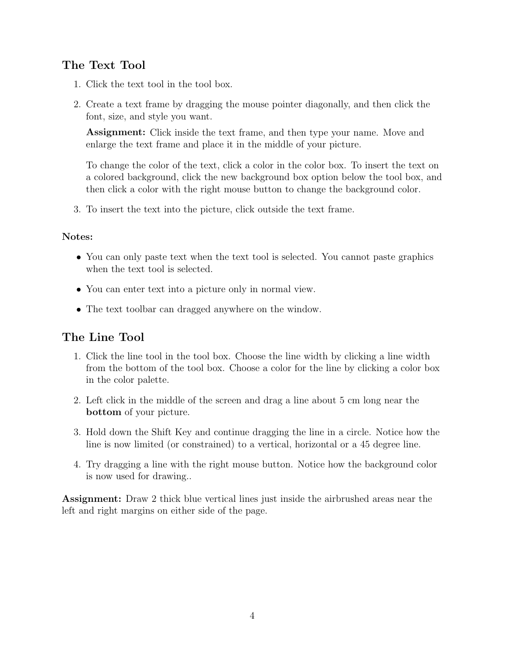## The Text Tool

- 1. Click the text tool in the tool box.
- 2. Create a text frame by dragging the mouse pointer diagonally, and then click the font, size, and style you want.

Assignment: Click inside the text frame, and then type your name. Move and enlarge the text frame and place it in the middle of your picture.

To change the color of the text, click a color in the color box. To insert the text on a colored background, click the new background box option below the tool box, and then click a color with the right mouse button to change the background color.

3. To insert the text into the picture, click outside the text frame.

#### Notes:

- You can only paste text when the text tool is selected. You cannot paste graphics when the text tool is selected.
- You can enter text into a picture only in normal view.
- The text toolbar can dragged anywhere on the window.

### The Line Tool

- 1. Click the line tool in the tool box. Choose the line width by clicking a line width from the bottom of the tool box. Choose a color for the line by clicking a color box in the color palette.
- 2. Left click in the middle of the screen and drag a line about 5 cm long near the bottom of your picture.
- 3. Hold down the Shift Key and continue dragging the line in a circle. Notice how the line is now limited (or constrained) to a vertical, horizontal or a 45 degree line.
- 4. Try dragging a line with the right mouse button. Notice how the background color is now used for drawing..

Assignment: Draw 2 thick blue vertical lines just inside the airbrushed areas near the left and right margins on either side of the page.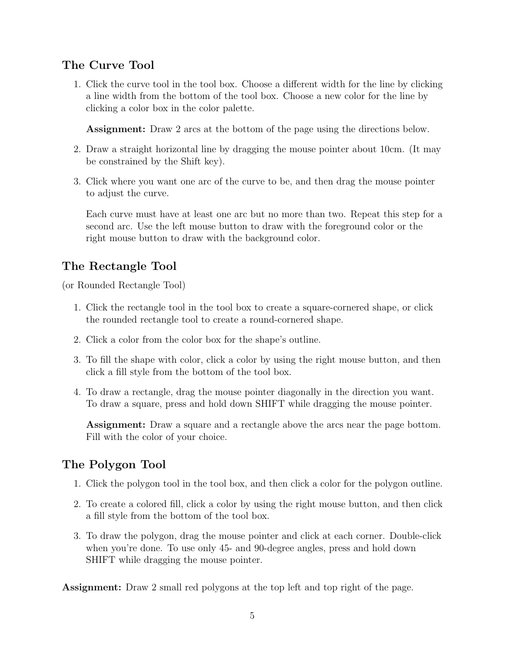## The Curve Tool

1. Click the curve tool in the tool box. Choose a different width for the line by clicking a line width from the bottom of the tool box. Choose a new color for the line by clicking a color box in the color palette.

Assignment: Draw 2 arcs at the bottom of the page using the directions below.

- 2. Draw a straight horizontal line by dragging the mouse pointer about 10cm. (It may be constrained by the Shift key).
- 3. Click where you want one arc of the curve to be, and then drag the mouse pointer to adjust the curve.

Each curve must have at least one arc but no more than two. Repeat this step for a second arc. Use the left mouse button to draw with the foreground color or the right mouse button to draw with the background color.

## The Rectangle Tool

(or Rounded Rectangle Tool)

- 1. Click the rectangle tool in the tool box to create a square-cornered shape, or click the rounded rectangle tool to create a round-cornered shape.
- 2. Click a color from the color box for the shape's outline.
- 3. To fill the shape with color, click a color by using the right mouse button, and then click a fill style from the bottom of the tool box.
- 4. To draw a rectangle, drag the mouse pointer diagonally in the direction you want. To draw a square, press and hold down SHIFT while dragging the mouse pointer.

Assignment: Draw a square and a rectangle above the arcs near the page bottom. Fill with the color of your choice.

# The Polygon Tool

- 1. Click the polygon tool in the tool box, and then click a color for the polygon outline.
- 2. To create a colored fill, click a color by using the right mouse button, and then click a fill style from the bottom of the tool box.
- 3. To draw the polygon, drag the mouse pointer and click at each corner. Double-click when you're done. To use only 45- and 90-degree angles, press and hold down SHIFT while dragging the mouse pointer.

Assignment: Draw 2 small red polygons at the top left and top right of the page.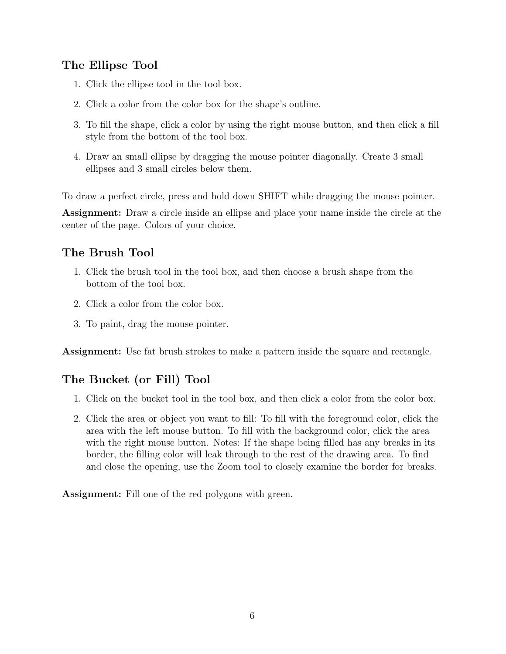## The Ellipse Tool

- 1. Click the ellipse tool in the tool box.
- 2. Click a color from the color box for the shape's outline.
- 3. To fill the shape, click a color by using the right mouse button, and then click a fill style from the bottom of the tool box.
- 4. Draw an small ellipse by dragging the mouse pointer diagonally. Create 3 small ellipses and 3 small circles below them.

To draw a perfect circle, press and hold down SHIFT while dragging the mouse pointer.

Assignment: Draw a circle inside an ellipse and place your name inside the circle at the center of the page. Colors of your choice.

# The Brush Tool

- 1. Click the brush tool in the tool box, and then choose a brush shape from the bottom of the tool box.
- 2. Click a color from the color box.
- 3. To paint, drag the mouse pointer.

Assignment: Use fat brush strokes to make a pattern inside the square and rectangle.

# The Bucket (or Fill) Tool

- 1. Click on the bucket tool in the tool box, and then click a color from the color box.
- 2. Click the area or object you want to fill: To fill with the foreground color, click the area with the left mouse button. To fill with the background color, click the area with the right mouse button. Notes: If the shape being filled has any breaks in its border, the filling color will leak through to the rest of the drawing area. To find and close the opening, use the Zoom tool to closely examine the border for breaks.

Assignment: Fill one of the red polygons with green.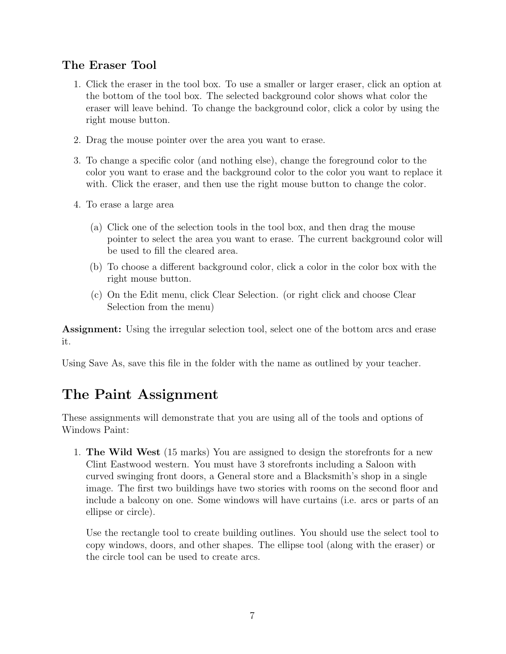# The Eraser Tool

- 1. Click the eraser in the tool box. To use a smaller or larger eraser, click an option at the bottom of the tool box. The selected background color shows what color the eraser will leave behind. To change the background color, click a color by using the right mouse button.
- 2. Drag the mouse pointer over the area you want to erase.
- 3. To change a specific color (and nothing else), change the foreground color to the color you want to erase and the background color to the color you want to replace it with. Click the eraser, and then use the right mouse button to change the color.
- 4. To erase a large area
	- (a) Click one of the selection tools in the tool box, and then drag the mouse pointer to select the area you want to erase. The current background color will be used to fill the cleared area.
	- (b) To choose a different background color, click a color in the color box with the right mouse button.
	- (c) On the Edit menu, click Clear Selection. (or right click and choose Clear Selection from the menu)

Assignment: Using the irregular selection tool, select one of the bottom arcs and erase it.

Using Save As, save this file in the folder with the name as outlined by your teacher.

# The Paint Assignment

These assignments will demonstrate that you are using all of the tools and options of Windows Paint:

1. The Wild West (15 marks) You are assigned to design the storefronts for a new Clint Eastwood western. You must have 3 storefronts including a Saloon with curved swinging front doors, a General store and a Blacksmith's shop in a single image. The first two buildings have two stories with rooms on the second floor and include a balcony on one. Some windows will have curtains (i.e. arcs or parts of an ellipse or circle).

Use the rectangle tool to create building outlines. You should use the select tool to copy windows, doors, and other shapes. The ellipse tool (along with the eraser) or the circle tool can be used to create arcs.